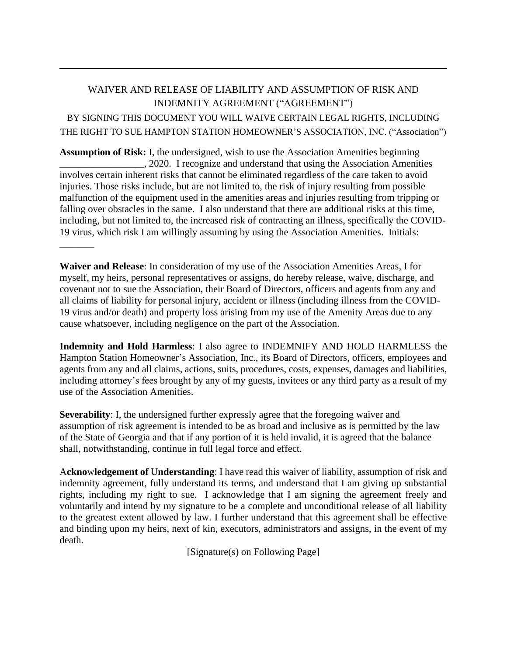## WAIVER AND RELEASE OF LIABILITY AND ASSUMPTION OF RISK AND INDEMNITY AGREEMENT ("AGREEMENT") BY SIGNING THIS DOCUMENT YOU WILL WAIVE CERTAIN LEGAL RIGHTS, INCLUDING THE RIGHT TO SUE HAMPTON STATION HOMEOWNER'S ASSOCIATION, INC. ("Association")

**Assumption of Risk:** I, the undersigned, wish to use the Association Amenities beginning \_\_\_\_\_\_\_\_\_\_\_\_\_\_\_\_\_, 2020. I recognize and understand that using the Association Amenities involves certain inherent risks that cannot be eliminated regardless of the care taken to avoid injuries. Those risks include, but are not limited to, the risk of injury resulting from possible malfunction of the equipment used in the amenities areas and injuries resulting from tripping or falling over obstacles in the same. I also understand that there are additional risks at this time, including, but not limited to, the increased risk of contracting an illness, specifically the COVID-19 virus, which risk I am willingly assuming by using the Association Amenities. Initials:

**Waiver and Release**: In consideration of my use of the Association Amenities Areas, I for myself, my heirs, personal representatives or assigns, do hereby release, waive, discharge, and covenant not to sue the Association, their Board of Directors, officers and agents from any and all claims of liability for personal injury, accident or illness (including illness from the COVID-19 virus and/or death) and property loss arising from my use of the Amenity Areas due to any cause whatsoever, including negligence on the part of the Association.

\_\_\_\_\_\_\_

**Indemnity and Hold Harmless**: I also agree to INDEMNIFY AND HOLD HARMLESS the Hampton Station Homeowner's Association, Inc., its Board of Directors, officers, employees and agents from any and all claims, actions, suits, procedures, costs, expenses, damages and liabilities, including attorney's fees brought by any of my guests, invitees or any third party as a result of my use of the Association Amenities.

**Severability**: I, the undersigned further expressly agree that the foregoing waiver and assumption of risk agreement is intended to be as broad and inclusive as is permitted by the law of the State of Georgia and that if any portion of it is held invalid, it is agreed that the balance shall, notwithstanding, continue in full legal force and effect.

A**ckno**w**ledgement of** U**nderstanding**: I have read this waiver of liability, assumption of risk and indemnity agreement, fully understand its terms, and understand that I am giving up substantial rights, including my right to sue. I acknowledge that I am signing the agreement freely and voluntarily and intend by my signature to be a complete and unconditional release of all liability to the greatest extent allowed by law. I further understand that this agreement shall be effective and binding upon my heirs, next of kin, executors, administrators and assigns, in the event of my death.

[Signature(s) on Following Page]